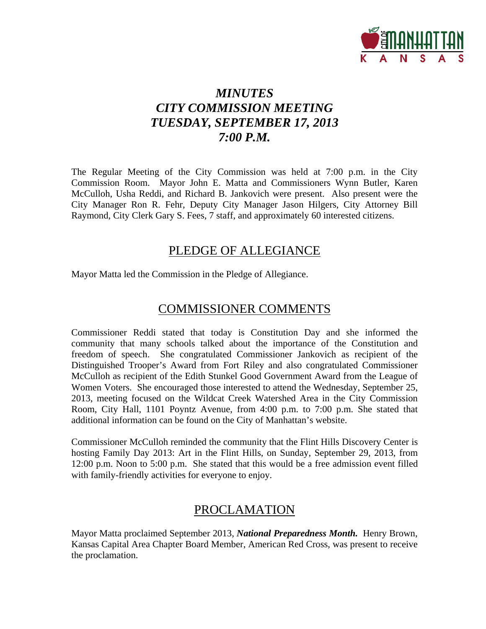

# *MINUTES CITY COMMISSION MEETING TUESDAY, SEPTEMBER 17, 2013 7:00 P.M.*

The Regular Meeting of the City Commission was held at 7:00 p.m. in the City Commission Room. Mayor John E. Matta and Commissioners Wynn Butler, Karen McCulloh, Usha Reddi, and Richard B. Jankovich were present. Also present were the City Manager Ron R. Fehr, Deputy City Manager Jason Hilgers, City Attorney Bill Raymond, City Clerk Gary S. Fees, 7 staff, and approximately 60 interested citizens.

# PLEDGE OF ALLEGIANCE

Mayor Matta led the Commission in the Pledge of Allegiance.

# COMMISSIONER COMMENTS

Commissioner Reddi stated that today is Constitution Day and she informed the community that many schools talked about the importance of the Constitution and freedom of speech. She congratulated Commissioner Jankovich as recipient of the Distinguished Trooper's Award from Fort Riley and also congratulated Commissioner McCulloh as recipient of the Edith Stunkel Good Government Award from the League of Women Voters. She encouraged those interested to attend the Wednesday, September 25, 2013, meeting focused on the Wildcat Creek Watershed Area in the City Commission Room, City Hall, 1101 Poyntz Avenue, from 4:00 p.m. to 7:00 p.m. She stated that additional information can be found on the City of Manhattan's website.

Commissioner McCulloh reminded the community that the Flint Hills Discovery Center is hosting Family Day 2013: Art in the Flint Hills, on Sunday, September 29, 2013, from 12:00 p.m. Noon to 5:00 p.m. She stated that this would be a free admission event filled with family-friendly activities for everyone to enjoy.

# PROCLAMATION

Mayor Matta proclaimed September 2013, *National Preparedness Month.* Henry Brown, Kansas Capital Area Chapter Board Member, American Red Cross, was present to receive the proclamation.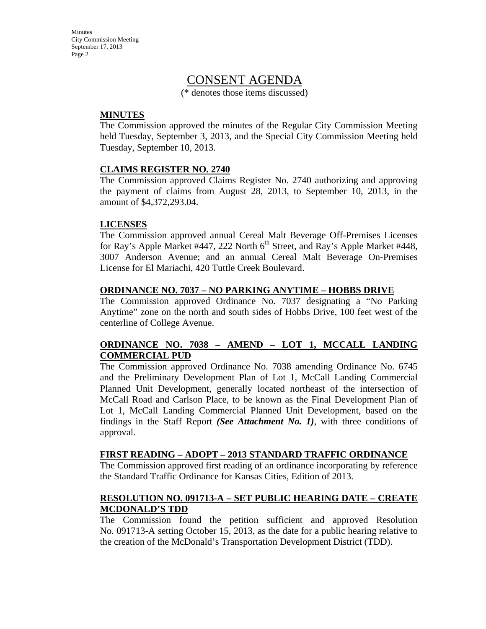**Minutes** City Commission Meeting September 17, 2013 Page 2

# CONSENT AGENDA

(\* denotes those items discussed)

#### **MINUTES**

The Commission approved the minutes of the Regular City Commission Meeting held Tuesday, September 3, 2013, and the Special City Commission Meeting held Tuesday, September 10, 2013.

#### **CLAIMS REGISTER NO. 2740**

The Commission approved Claims Register No. 2740 authorizing and approving the payment of claims from August 28, 2013, to September 10, 2013, in the amount of \$4,372,293.04.

#### **LICENSES**

The Commission approved annual Cereal Malt Beverage Off-Premises Licenses for Ray's Apple Market #447, 222 North  $6<sup>th</sup>$  Street, and Ray's Apple Market #448, 3007 Anderson Avenue; and an annual Cereal Malt Beverage On-Premises License for El Mariachi, 420 Tuttle Creek Boulevard.

#### **ORDINANCE NO. 7037 – NO PARKING ANYTIME – HOBBS DRIVE**

The Commission approved Ordinance No. 7037 designating a "No Parking Anytime" zone on the north and south sides of Hobbs Drive, 100 feet west of the centerline of College Avenue.

#### **ORDINANCE NO. 7038 – AMEND – LOT 1, MCCALL LANDING COMMERCIAL PUD**

The Commission approved Ordinance No. 7038 amending Ordinance No. 6745 and the Preliminary Development Plan of Lot 1, McCall Landing Commercial Planned Unit Development, generally located northeast of the intersection of McCall Road and Carlson Place, to be known as the Final Development Plan of Lot 1, McCall Landing Commercial Planned Unit Development, based on the findings in the Staff Report *(See Attachment No. 1)*, with three conditions of approval.

#### **FIRST READING – ADOPT – 2013 STANDARD TRAFFIC ORDINANCE**

The Commission approved first reading of an ordinance incorporating by reference the Standard Traffic Ordinance for Kansas Cities, Edition of 2013.

#### **RESOLUTION NO. 091713-A – SET PUBLIC HEARING DATE – CREATE MCDONALD'S TDD**

The Commission found the petition sufficient and approved Resolution No. 091713-A setting October 15, 2013, as the date for a public hearing relative to the creation of the McDonald's Transportation Development District (TDD).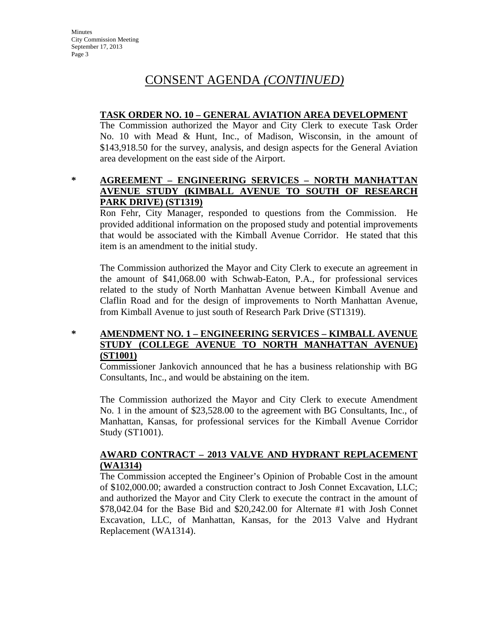# CONSENT AGENDA *(CONTINUED)*

### **TASK ORDER NO. 10 – GENERAL AVIATION AREA DEVELOPMENT**

The Commission authorized the Mayor and City Clerk to execute Task Order No. 10 with Mead & Hunt, Inc., of Madison, Wisconsin, in the amount of \$143,918.50 for the survey, analysis, and design aspects for the General Aviation area development on the east side of the Airport.

### **\* AGREEMENT – ENGINEERING SERVICES – NORTH MANHATTAN AVENUE STUDY (KIMBALL AVENUE TO SOUTH OF RESEARCH PARK DRIVE) (ST1319)**

Ron Fehr, City Manager, responded to questions from the Commission. He provided additional information on the proposed study and potential improvements that would be associated with the Kimball Avenue Corridor. He stated that this item is an amendment to the initial study.

The Commission authorized the Mayor and City Clerk to execute an agreement in the amount of \$41,068.00 with Schwab-Eaton, P.A., for professional services related to the study of North Manhattan Avenue between Kimball Avenue and Claflin Road and for the design of improvements to North Manhattan Avenue, from Kimball Avenue to just south of Research Park Drive (ST1319).

### **\* AMENDMENT NO. 1 – ENGINEERING SERVICES – KIMBALL AVENUE STUDY (COLLEGE AVENUE TO NORTH MANHATTAN AVENUE) (ST1001)**

Commissioner Jankovich announced that he has a business relationship with BG Consultants, Inc., and would be abstaining on the item.

The Commission authorized the Mayor and City Clerk to execute Amendment No. 1 in the amount of \$23,528.00 to the agreement with BG Consultants, Inc., of Manhattan, Kansas, for professional services for the Kimball Avenue Corridor Study (ST1001).

### **AWARD CONTRACT – 2013 VALVE AND HYDRANT REPLACEMENT (WA1314)**

The Commission accepted the Engineer's Opinion of Probable Cost in the amount of \$102,000.00; awarded a construction contract to Josh Connet Excavation, LLC; and authorized the Mayor and City Clerk to execute the contract in the amount of \$78,042.04 for the Base Bid and \$20,242.00 for Alternate #1 with Josh Connet Excavation, LLC, of Manhattan, Kansas, for the 2013 Valve and Hydrant Replacement (WA1314).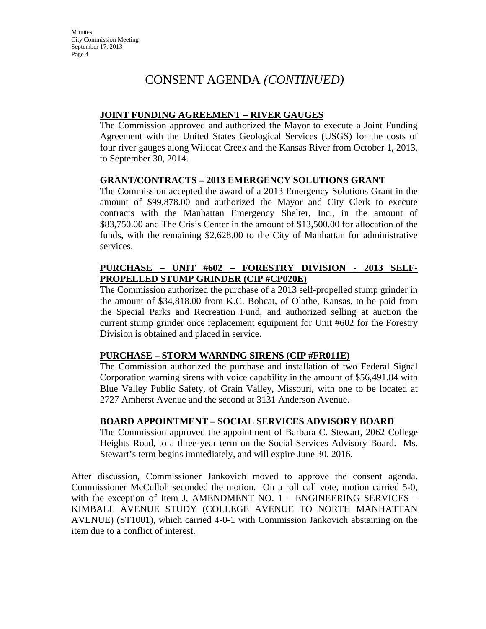# CONSENT AGENDA *(CONTINUED)*

### **JOINT FUNDING AGREEMENT – RIVER GAUGES**

The Commission approved and authorized the Mayor to execute a Joint Funding Agreement with the United States Geological Services (USGS) for the costs of four river gauges along Wildcat Creek and the Kansas River from October 1, 2013, to September 30, 2014.

### **GRANT/CONTRACTS – 2013 EMERGENCY SOLUTIONS GRANT**

The Commission accepted the award of a 2013 Emergency Solutions Grant in the amount of \$99,878.00 and authorized the Mayor and City Clerk to execute contracts with the Manhattan Emergency Shelter, Inc., in the amount of \$83,750.00 and The Crisis Center in the amount of \$13,500.00 for allocation of the funds, with the remaining \$2,628.00 to the City of Manhattan for administrative services.

# **PURCHASE – UNIT #602 – FORESTRY DIVISION - 2013 SELF-PROPELLED STUMP GRINDER (CIP #CP020E)**

The Commission authorized the purchase of a 2013 self-propelled stump grinder in the amount of \$34,818.00 from K.C. Bobcat, of Olathe, Kansas, to be paid from the Special Parks and Recreation Fund, and authorized selling at auction the current stump grinder once replacement equipment for Unit #602 for the Forestry Division is obtained and placed in service.

# **PURCHASE – STORM WARNING SIRENS (CIP #FR011E)**

The Commission authorized the purchase and installation of two Federal Signal Corporation warning sirens with voice capability in the amount of \$56,491.84 with Blue Valley Public Safety, of Grain Valley, Missouri, with one to be located at 2727 Amherst Avenue and the second at 3131 Anderson Avenue.

### **BOARD APPOINTMENT – SOCIAL SERVICES ADVISORY BOARD**

The Commission approved the appointment of Barbara C. Stewart, 2062 College Heights Road, to a three-year term on the Social Services Advisory Board. Ms. Stewart's term begins immediately, and will expire June 30, 2016.

After discussion, Commissioner Jankovich moved to approve the consent agenda. Commissioner McCulloh seconded the motion. On a roll call vote, motion carried 5-0, with the exception of Item J, AMENDMENT NO. 1 – ENGINEERING SERVICES – KIMBALL AVENUE STUDY (COLLEGE AVENUE TO NORTH MANHATTAN AVENUE) (ST1001), which carried 4-0-1 with Commission Jankovich abstaining on the item due to a conflict of interest.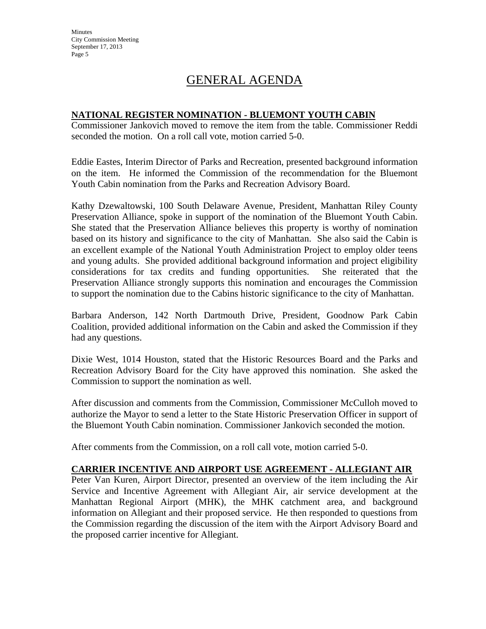**Minutes** City Commission Meeting September 17, 2013 Page 5

# GENERAL AGENDA

### **NATIONAL REGISTER NOMINATION - BLUEMONT YOUTH CABIN**

Commissioner Jankovich moved to remove the item from the table. Commissioner Reddi seconded the motion. On a roll call vote, motion carried 5-0.

Eddie Eastes, Interim Director of Parks and Recreation, presented background information on the item. He informed the Commission of the recommendation for the Bluemont Youth Cabin nomination from the Parks and Recreation Advisory Board.

Kathy Dzewaltowski, 100 South Delaware Avenue, President, Manhattan Riley County Preservation Alliance, spoke in support of the nomination of the Bluemont Youth Cabin. She stated that the Preservation Alliance believes this property is worthy of nomination based on its history and significance to the city of Manhattan. She also said the Cabin is an excellent example of the National Youth Administration Project to employ older teens and young adults. She provided additional background information and project eligibility considerations for tax credits and funding opportunities. She reiterated that the Preservation Alliance strongly supports this nomination and encourages the Commission to support the nomination due to the Cabins historic significance to the city of Manhattan.

Barbara Anderson, 142 North Dartmouth Drive, President, Goodnow Park Cabin Coalition, provided additional information on the Cabin and asked the Commission if they had any questions.

Dixie West, 1014 Houston, stated that the Historic Resources Board and the Parks and Recreation Advisory Board for the City have approved this nomination. She asked the Commission to support the nomination as well.

After discussion and comments from the Commission, Commissioner McCulloh moved to authorize the Mayor to send a letter to the State Historic Preservation Officer in support of the Bluemont Youth Cabin nomination. Commissioner Jankovich seconded the motion.

After comments from the Commission, on a roll call vote, motion carried 5-0.

# **CARRIER INCENTIVE AND AIRPORT USE AGREEMENT - ALLEGIANT AIR**

Peter Van Kuren, Airport Director, presented an overview of the item including the Air Service and Incentive Agreement with Allegiant Air, air service development at the Manhattan Regional Airport (MHK), the MHK catchment area, and background information on Allegiant and their proposed service. He then responded to questions from the Commission regarding the discussion of the item with the Airport Advisory Board and the proposed carrier incentive for Allegiant.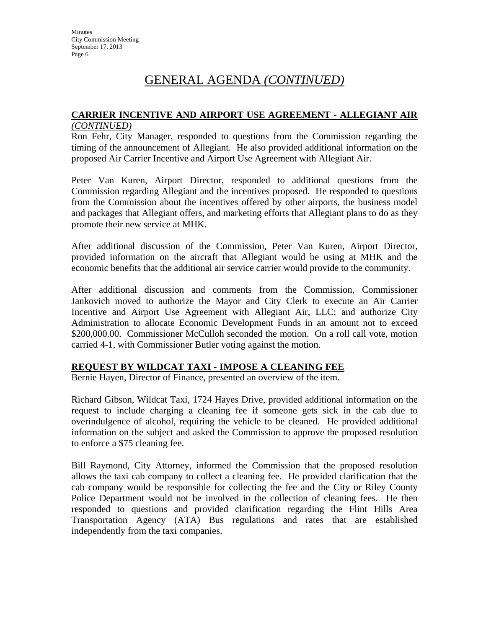# GENERAL AGENDA *(CONTINUED)*

# **CARRIER INCENTIVE AND AIRPORT USE AGREEMENT - ALLEGIANT AIR**

#### *(CONTINUED)*

Ron Fehr, City Manager, responded to questions from the Commission regarding the timing of the announcement of Allegiant. He also provided additional information on the proposed Air Carrier Incentive and Airport Use Agreement with Allegiant Air.

Peter Van Kuren, Airport Director, responded to additional questions from the Commission regarding Allegiant and the incentives proposed. He responded to questions from the Commission about the incentives offered by other airports, the business model and packages that Allegiant offers, and marketing efforts that Allegiant plans to do as they promote their new service at MHK.

After additional discussion of the Commission, Peter Van Kuren, Airport Director, provided information on the aircraft that Allegiant would be using at MHK and the economic benefits that the additional air service carrier would provide to the community.

After additional discussion and comments from the Commission, Commissioner Jankovich moved to authorize the Mayor and City Clerk to execute an Air Carrier Incentive and Airport Use Agreement with Allegiant Air, LLC; and authorize City Administration to allocate Economic Development Funds in an amount not to exceed \$200,000.00. Commissioner McCulloh seconded the motion. On a roll call vote, motion carried 4-1, with Commissioner Butler voting against the motion.

### **REQUEST BY WILDCAT TAXI - IMPOSE A CLEANING FEE**

Bernie Hayen, Director of Finance, presented an overview of the item.

Richard Gibson, Wildcat Taxi, 1724 Hayes Drive, provided additional information on the request to include charging a cleaning fee if someone gets sick in the cab due to overindulgence of alcohol, requiring the vehicle to be cleaned. He provided additional information on the subject and asked the Commission to approve the proposed resolution to enforce a \$75 cleaning fee.

Bill Raymond, City Attorney, informed the Commission that the proposed resolution allows the taxi cab company to collect a cleaning fee. He provided clarification that the cab company would be responsible for collecting the fee and the City or Riley County Police Department would not be involved in the collection of cleaning fees. He then responded to questions and provided clarification regarding the Flint Hills Area Transportation Agency (ATA) Bus regulations and rates that are established independently from the taxi companies.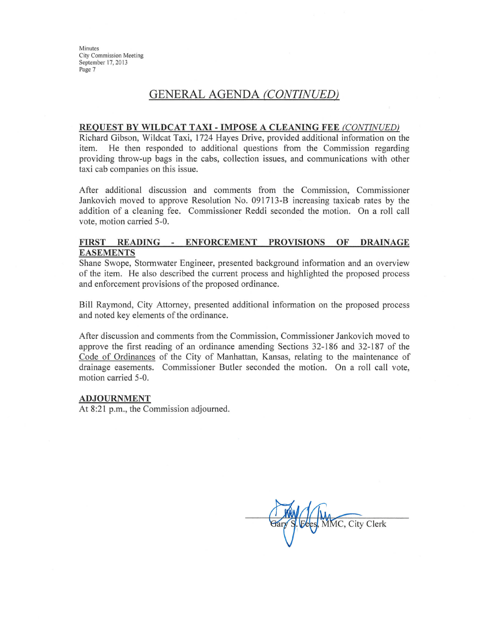Minutes **City Commission Meeting** September 17, 2013 Page 7

# **GENERAL AGENDA (CONTINUED)**

#### REQUEST BY WILDCAT TAXI - IMPOSE A CLEANING FEE (CONTINUED)

Richard Gibson, Wildcat Taxi, 1724 Hayes Drive, provided additional information on the item. He then responded to additional questions from the Commission regarding providing throw-up bags in the cabs, collection issues, and communications with other taxi cab companies on this issue.

After additional discussion and comments from the Commission, Commissioner Jankovich moved to approve Resolution No. 091713-B increasing taxicab rates by the addition of a cleaning fee. Commissioner Reddi seconded the motion. On a roll call vote, motion carried 5-0.

#### FIRST READING - ENFORCEMENT PROVISIONS OF **DRAINAGE EASEMENTS**

Shane Swope, Stormwater Engineer, presented background information and an overview of the item. He also described the current process and highlighted the proposed process and enforcement provisions of the proposed ordinance.

Bill Raymond, City Attorney, presented additional information on the proposed process and noted key elements of the ordinance.

After discussion and comments from the Commission, Commissioner Jankovich moved to approve the first reading of an ordinance amending Sections 32-186 and 32-187 of the Code of Ordinances of the City of Manhattan, Kansas, relating to the maintenance of drainage easements. Commissioner Butler seconded the motion. On a roll call vote, motion carried 5-0.

#### **ADJOURNMENT**

At 8:21 p.m., the Commission adjourned.

MMC, City Clerk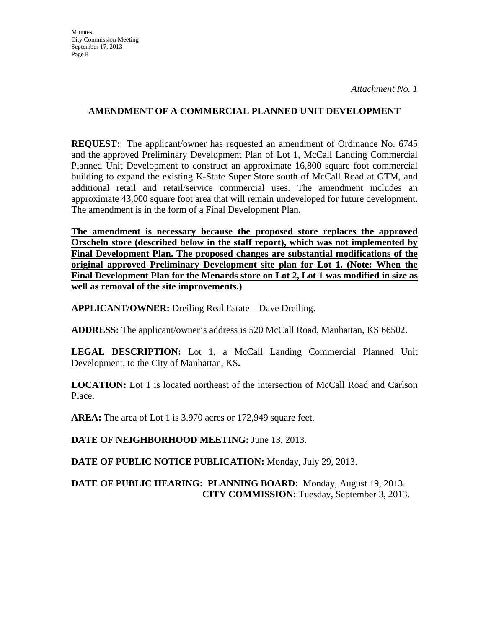### **AMENDMENT OF A COMMERCIAL PLANNED UNIT DEVELOPMENT**

**REQUEST:** The applicant/owner has requested an amendment of Ordinance No. 6745 and the approved Preliminary Development Plan of Lot 1, McCall Landing Commercial Planned Unit Development to construct an approximate 16,800 square foot commercial building to expand the existing K-State Super Store south of McCall Road at GTM, and additional retail and retail/service commercial uses. The amendment includes an approximate 43,000 square foot area that will remain undeveloped for future development. The amendment is in the form of a Final Development Plan.

**The amendment is necessary because the proposed store replaces the approved Orscheln store (described below in the staff report), which was not implemented by Final Development Plan. The proposed changes are substantial modifications of the original approved Preliminary Development site plan for Lot 1. (Note: When the Final Development Plan for the Menards store on Lot 2, Lot 1 was modified in size as well as removal of the site improvements.)**

**APPLICANT/OWNER:** Dreiling Real Estate – Dave Dreiling.

**ADDRESS:** The applicant/owner's address is 520 McCall Road, Manhattan, KS 66502.

LEGAL DESCRIPTION: Lot 1, a McCall Landing Commercial Planned Unit Development, to the City of Manhattan, KS**.** 

**LOCATION:** Lot 1 is located northeast of the intersection of McCall Road and Carlson Place.

**AREA:** The area of Lot 1 is 3.970 acres or 172,949 square feet.

**DATE OF NEIGHBORHOOD MEETING:** June 13, 2013.

**DATE OF PUBLIC NOTICE PUBLICATION:** Monday, July 29, 2013.

## **DATE OF PUBLIC HEARING: PLANNING BOARD:** Monday, August 19, 2013. **CITY COMMISSION:** Tuesday, September 3, 2013.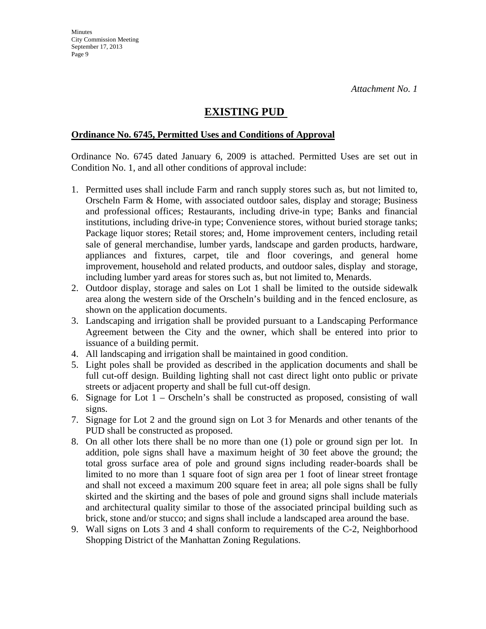# **EXISTING PUD**

#### **Ordinance No. 6745, Permitted Uses and Conditions of Approval**

Ordinance No. 6745 dated January 6, 2009 is attached. Permitted Uses are set out in Condition No. 1, and all other conditions of approval include:

- 1. Permitted uses shall include Farm and ranch supply stores such as, but not limited to, Orscheln Farm & Home, with associated outdoor sales, display and storage; Business and professional offices; Restaurants, including drive-in type; Banks and financial institutions, including drive-in type; Convenience stores, without buried storage tanks; Package liquor stores; Retail stores; and, Home improvement centers, including retail sale of general merchandise, lumber yards, landscape and garden products, hardware, appliances and fixtures, carpet, tile and floor coverings, and general home improvement, household and related products, and outdoor sales, display and storage, including lumber yard areas for stores such as, but not limited to, Menards.
- 2. Outdoor display, storage and sales on Lot 1 shall be limited to the outside sidewalk area along the western side of the Orscheln's building and in the fenced enclosure, as shown on the application documents.
- 3. Landscaping and irrigation shall be provided pursuant to a Landscaping Performance Agreement between the City and the owner, which shall be entered into prior to issuance of a building permit.
- 4. All landscaping and irrigation shall be maintained in good condition.
- 5. Light poles shall be provided as described in the application documents and shall be full cut-off design. Building lighting shall not cast direct light onto public or private streets or adjacent property and shall be full cut-off design.
- 6. Signage for Lot 1 Orscheln's shall be constructed as proposed, consisting of wall signs.
- 7. Signage for Lot 2 and the ground sign on Lot 3 for Menards and other tenants of the PUD shall be constructed as proposed.
- 8. On all other lots there shall be no more than one (1) pole or ground sign per lot. In addition, pole signs shall have a maximum height of 30 feet above the ground; the total gross surface area of pole and ground signs including reader-boards shall be limited to no more than 1 square foot of sign area per 1 foot of linear street frontage and shall not exceed a maximum 200 square feet in area; all pole signs shall be fully skirted and the skirting and the bases of pole and ground signs shall include materials and architectural quality similar to those of the associated principal building such as brick, stone and/or stucco; and signs shall include a landscaped area around the base.
- 9. Wall signs on Lots 3 and 4 shall conform to requirements of the C-2, Neighborhood Shopping District of the Manhattan Zoning Regulations.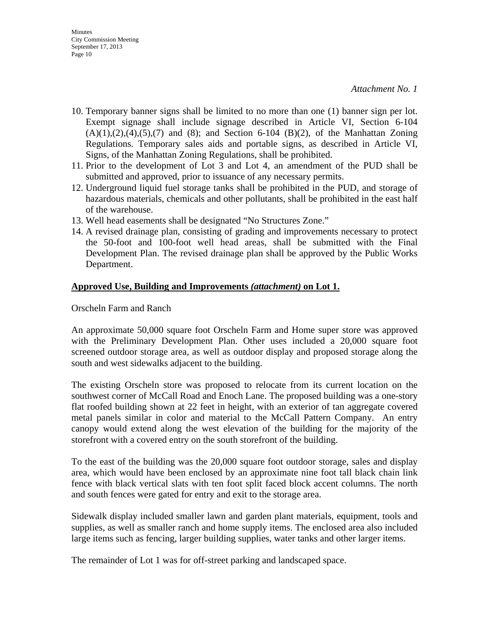- 10. Temporary banner signs shall be limited to no more than one (1) banner sign per lot. Exempt signage shall include signage described in Article VI, Section 6-104  $(A)(1),(2),(4),(5),(7)$  and  $(8)$ ; and Section 6-104  $(B)(2)$ , of the Manhattan Zoning Regulations. Temporary sales aids and portable signs, as described in Article VI, Signs, of the Manhattan Zoning Regulations, shall be prohibited.
- 11. Prior to the development of Lot 3 and Lot 4, an amendment of the PUD shall be submitted and approved, prior to issuance of any necessary permits.
- 12. Underground liquid fuel storage tanks shall be prohibited in the PUD, and storage of hazardous materials, chemicals and other pollutants, shall be prohibited in the east half of the warehouse.
- 13. Well head easements shall be designated "No Structures Zone."
- 14. A revised drainage plan, consisting of grading and improvements necessary to protect the 50-foot and 100-foot well head areas, shall be submitted with the Final Development Plan. The revised drainage plan shall be approved by the Public Works Department.

#### **Approved Use, Building and Improvements** *(attachment)* **on Lot 1.**

Orscheln Farm and Ranch

An approximate 50,000 square foot Orscheln Farm and Home super store was approved with the Preliminary Development Plan. Other uses included a 20,000 square foot screened outdoor storage area, as well as outdoor display and proposed storage along the south and west sidewalks adjacent to the building.

The existing Orscheln store was proposed to relocate from its current location on the southwest corner of McCall Road and Enoch Lane. The proposed building was a one-story flat roofed building shown at 22 feet in height, with an exterior of tan aggregate covered metal panels similar in color and material to the McCall Pattern Company. An entry canopy would extend along the west elevation of the building for the majority of the storefront with a covered entry on the south storefront of the building.

To the east of the building was the 20,000 square foot outdoor storage, sales and display area, which would have been enclosed by an approximate nine foot tall black chain link fence with black vertical slats with ten foot split faced block accent columns. The north and south fences were gated for entry and exit to the storage area.

Sidewalk display included smaller lawn and garden plant materials, equipment, tools and supplies, as well as smaller ranch and home supply items. The enclosed area also included large items such as fencing, larger building supplies, water tanks and other larger items.

The remainder of Lot 1 was for off-street parking and landscaped space.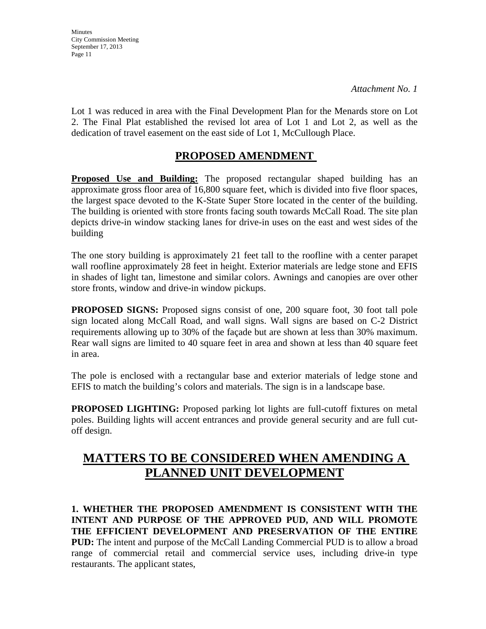**Minutes** City Commission Meeting September 17, 2013 Page 11

*Attachment No. 1*

Lot 1 was reduced in area with the Final Development Plan for the Menards store on Lot 2. The Final Plat established the revised lot area of Lot 1 and Lot 2, as well as the dedication of travel easement on the east side of Lot 1, McCullough Place.

# **PROPOSED AMENDMENT**

Proposed Use and Building: The proposed rectangular shaped building has an approximate gross floor area of 16,800 square feet, which is divided into five floor spaces, the largest space devoted to the K-State Super Store located in the center of the building. The building is oriented with store fronts facing south towards McCall Road. The site plan depicts drive-in window stacking lanes for drive-in uses on the east and west sides of the building

The one story building is approximately 21 feet tall to the roofline with a center parapet wall roofline approximately 28 feet in height. Exterior materials are ledge stone and EFIS in shades of light tan, limestone and similar colors. Awnings and canopies are over other store fronts, window and drive-in window pickups.

**PROPOSED SIGNS:** Proposed signs consist of one, 200 square foot, 30 foot tall pole sign located along McCall Road, and wall signs. Wall signs are based on C-2 District requirements allowing up to 30% of the façade but are shown at less than 30% maximum. Rear wall signs are limited to 40 square feet in area and shown at less than 40 square feet in area.

The pole is enclosed with a rectangular base and exterior materials of ledge stone and EFIS to match the building's colors and materials. The sign is in a landscape base.

**PROPOSED LIGHTING:** Proposed parking lot lights are full-cutoff fixtures on metal poles. Building lights will accent entrances and provide general security and are full cutoff design.

# **MATTERS TO BE CONSIDERED WHEN AMENDING A PLANNED UNIT DEVELOPMENT**

**1. WHETHER THE PROPOSED AMENDMENT IS CONSISTENT WITH THE INTENT AND PURPOSE OF THE APPROVED PUD, AND WILL PROMOTE THE EFFICIENT DEVELOPMENT AND PRESERVATION OF THE ENTIRE PUD:** The intent and purpose of the McCall Landing Commercial PUD is to allow a broad range of commercial retail and commercial service uses, including drive-in type restaurants. The applicant states,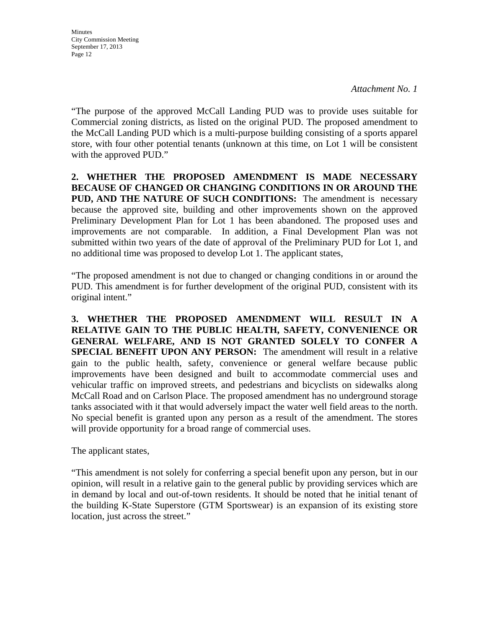**Minutes** City Commission Meeting September 17, 2013 Page 12

"The purpose of the approved McCall Landing PUD was to provide uses suitable for Commercial zoning districts, as listed on the original PUD. The proposed amendment to the McCall Landing PUD which is a multi-purpose building consisting of a sports apparel store, with four other potential tenants (unknown at this time, on Lot 1 will be consistent with the approved PUD."

**2. WHETHER THE PROPOSED AMENDMENT IS MADE NECESSARY BECAUSE OF CHANGED OR CHANGING CONDITIONS IN OR AROUND THE PUD, AND THE NATURE OF SUCH CONDITIONS:** The amendment is necessary because the approved site, building and other improvements shown on the approved Preliminary Development Plan for Lot 1 has been abandoned. The proposed uses and improvements are not comparable. In addition, a Final Development Plan was not submitted within two years of the date of approval of the Preliminary PUD for Lot 1, and no additional time was proposed to develop Lot 1. The applicant states,

"The proposed amendment is not due to changed or changing conditions in or around the PUD. This amendment is for further development of the original PUD, consistent with its original intent."

**3. WHETHER THE PROPOSED AMENDMENT WILL RESULT IN A RELATIVE GAIN TO THE PUBLIC HEALTH, SAFETY, CONVENIENCE OR GENERAL WELFARE, AND IS NOT GRANTED SOLELY TO CONFER A SPECIAL BENEFIT UPON ANY PERSON:** The amendment will result in a relative gain to the public health, safety, convenience or general welfare because public improvements have been designed and built to accommodate commercial uses and vehicular traffic on improved streets, and pedestrians and bicyclists on sidewalks along McCall Road and on Carlson Place. The proposed amendment has no underground storage tanks associated with it that would adversely impact the water well field areas to the north. No special benefit is granted upon any person as a result of the amendment. The stores will provide opportunity for a broad range of commercial uses.

The applicant states,

"This amendment is not solely for conferring a special benefit upon any person, but in our opinion, will result in a relative gain to the general public by providing services which are in demand by local and out-of-town residents. It should be noted that he initial tenant of the building K-State Superstore (GTM Sportswear) is an expansion of its existing store location, just across the street."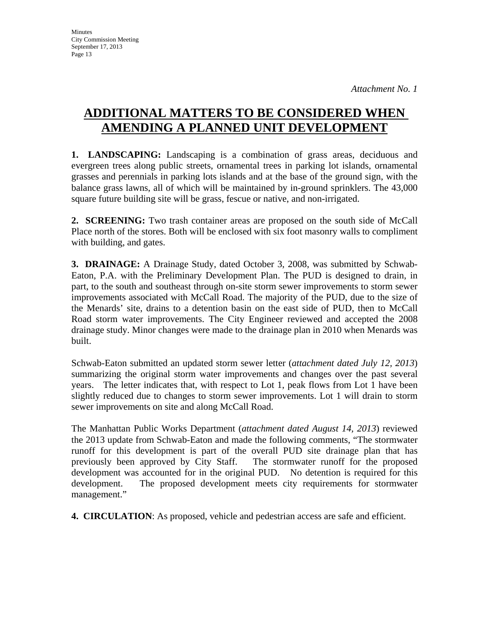# **ADDITIONAL MATTERS TO BE CONSIDERED WHEN AMENDING A PLANNED UNIT DEVELOPMENT**

**1. LANDSCAPING:** Landscaping is a combination of grass areas, deciduous and evergreen trees along public streets, ornamental trees in parking lot islands, ornamental grasses and perennials in parking lots islands and at the base of the ground sign, with the balance grass lawns, all of which will be maintained by in-ground sprinklers. The 43,000 square future building site will be grass, fescue or native, and non-irrigated.

**2. SCREENING:** Two trash container areas are proposed on the south side of McCall Place north of the stores. Both will be enclosed with six foot masonry walls to compliment with building, and gates.

**3. DRAINAGE:** A Drainage Study, dated October 3, 2008, was submitted by Schwab-Eaton, P.A. with the Preliminary Development Plan. The PUD is designed to drain, in part, to the south and southeast through on-site storm sewer improvements to storm sewer improvements associated with McCall Road. The majority of the PUD, due to the size of the Menards' site, drains to a detention basin on the east side of PUD, then to McCall Road storm water improvements. The City Engineer reviewed and accepted the 2008 drainage study. Minor changes were made to the drainage plan in 2010 when Menards was built.

Schwab-Eaton submitted an updated storm sewer letter (*attachment dated July 12, 2013*) summarizing the original storm water improvements and changes over the past several years. The letter indicates that, with respect to Lot 1, peak flows from Lot 1 have been slightly reduced due to changes to storm sewer improvements. Lot 1 will drain to storm sewer improvements on site and along McCall Road.

The Manhattan Public Works Department (*attachment dated August 14, 2013*) reviewed the 2013 update from Schwab-Eaton and made the following comments, "The stormwater runoff for this development is part of the overall PUD site drainage plan that has previously been approved by City Staff. The stormwater runoff for the proposed development was accounted for in the original PUD. No detention is required for this development. The proposed development meets city requirements for stormwater management."

**4. CIRCULATION**: As proposed, vehicle and pedestrian access are safe and efficient.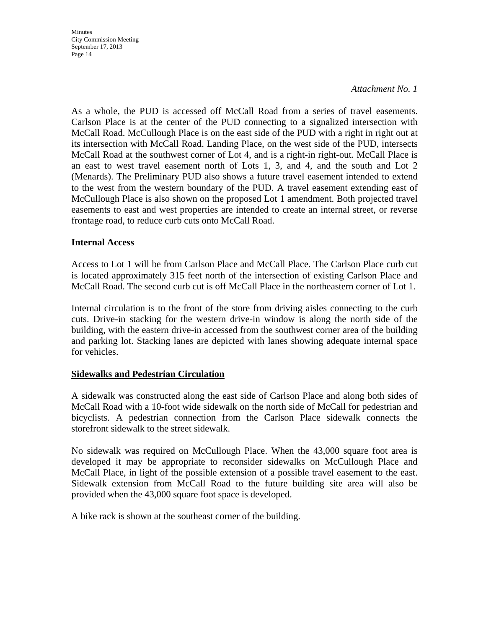**Minutes** City Commission Meeting September 17, 2013 Page 14

#### *Attachment No. 1*

As a whole, the PUD is accessed off McCall Road from a series of travel easements. Carlson Place is at the center of the PUD connecting to a signalized intersection with McCall Road. McCullough Place is on the east side of the PUD with a right in right out at its intersection with McCall Road. Landing Place, on the west side of the PUD, intersects McCall Road at the southwest corner of Lot 4, and is a right-in right-out. McCall Place is an east to west travel easement north of Lots 1, 3, and 4, and the south and Lot 2 (Menards). The Preliminary PUD also shows a future travel easement intended to extend to the west from the western boundary of the PUD. A travel easement extending east of McCullough Place is also shown on the proposed Lot 1 amendment. Both projected travel easements to east and west properties are intended to create an internal street, or reverse frontage road, to reduce curb cuts onto McCall Road.

#### **Internal Access**

Access to Lot 1 will be from Carlson Place and McCall Place. The Carlson Place curb cut is located approximately 315 feet north of the intersection of existing Carlson Place and McCall Road. The second curb cut is off McCall Place in the northeastern corner of Lot 1.

Internal circulation is to the front of the store from driving aisles connecting to the curb cuts. Drive-in stacking for the western drive-in window is along the north side of the building, with the eastern drive-in accessed from the southwest corner area of the building and parking lot. Stacking lanes are depicted with lanes showing adequate internal space for vehicles.

#### **Sidewalks and Pedestrian Circulation**

A sidewalk was constructed along the east side of Carlson Place and along both sides of McCall Road with a 10-foot wide sidewalk on the north side of McCall for pedestrian and bicyclists. A pedestrian connection from the Carlson Place sidewalk connects the storefront sidewalk to the street sidewalk.

No sidewalk was required on McCullough Place. When the 43,000 square foot area is developed it may be appropriate to reconsider sidewalks on McCullough Place and McCall Place, in light of the possible extension of a possible travel easement to the east. Sidewalk extension from McCall Road to the future building site area will also be provided when the 43,000 square foot space is developed.

A bike rack is shown at the southeast corner of the building.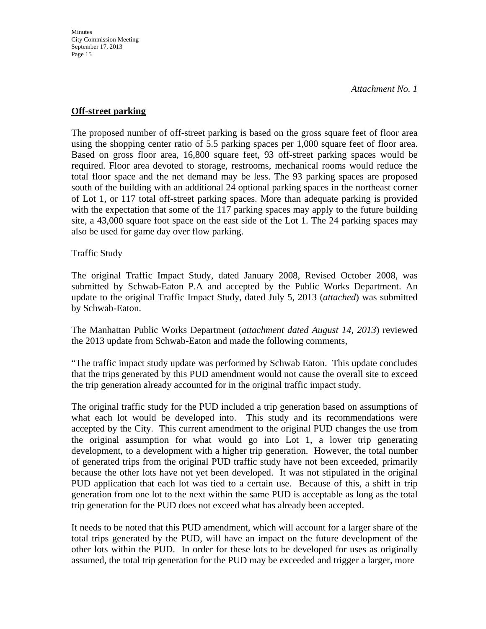### **Off-street parking**

The proposed number of off-street parking is based on the gross square feet of floor area using the shopping center ratio of 5.5 parking spaces per 1,000 square feet of floor area. Based on gross floor area, 16,800 square feet, 93 off-street parking spaces would be required. Floor area devoted to storage, restrooms, mechanical rooms would reduce the total floor space and the net demand may be less. The 93 parking spaces are proposed south of the building with an additional 24 optional parking spaces in the northeast corner of Lot 1, or 117 total off-street parking spaces. More than adequate parking is provided with the expectation that some of the 117 parking spaces may apply to the future building site, a 43,000 square foot space on the east side of the Lot 1. The 24 parking spaces may also be used for game day over flow parking.

Traffic Study

The original Traffic Impact Study, dated January 2008, Revised October 2008, was submitted by Schwab-Eaton P.A and accepted by the Public Works Department. An update to the original Traffic Impact Study, dated July 5, 2013 (*attached*) was submitted by Schwab-Eaton.

The Manhattan Public Works Department (*attachment dated August 14, 2013*) reviewed the 2013 update from Schwab-Eaton and made the following comments,

"The traffic impact study update was performed by Schwab Eaton. This update concludes that the trips generated by this PUD amendment would not cause the overall site to exceed the trip generation already accounted for in the original traffic impact study.

The original traffic study for the PUD included a trip generation based on assumptions of what each lot would be developed into. This study and its recommendations were accepted by the City. This current amendment to the original PUD changes the use from the original assumption for what would go into Lot 1, a lower trip generating development, to a development with a higher trip generation. However, the total number of generated trips from the original PUD traffic study have not been exceeded, primarily because the other lots have not yet been developed. It was not stipulated in the original PUD application that each lot was tied to a certain use. Because of this, a shift in trip generation from one lot to the next within the same PUD is acceptable as long as the total trip generation for the PUD does not exceed what has already been accepted.

It needs to be noted that this PUD amendment, which will account for a larger share of the total trips generated by the PUD, will have an impact on the future development of the other lots within the PUD. In order for these lots to be developed for uses as originally assumed, the total trip generation for the PUD may be exceeded and trigger a larger, more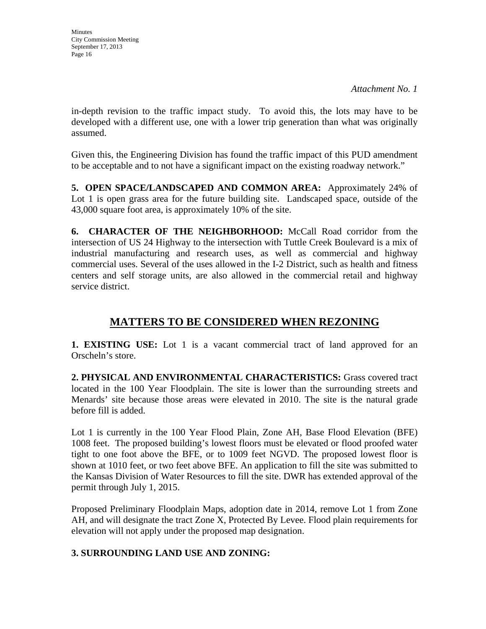in-depth revision to the traffic impact study. To avoid this, the lots may have to be developed with a different use, one with a lower trip generation than what was originally assumed.

Given this, the Engineering Division has found the traffic impact of this PUD amendment to be acceptable and to not have a significant impact on the existing roadway network."

**5. OPEN SPACE/LANDSCAPED AND COMMON AREA:** Approximately 24% of Lot 1 is open grass area for the future building site. Landscaped space, outside of the 43,000 square foot area, is approximately 10% of the site.

**6. CHARACTER OF THE NEIGHBORHOOD:** McCall Road corridor from the intersection of US 24 Highway to the intersection with Tuttle Creek Boulevard is a mix of industrial manufacturing and research uses, as well as commercial and highway commercial uses. Several of the uses allowed in the I-2 District, such as health and fitness centers and self storage units, are also allowed in the commercial retail and highway service district.

# **MATTERS TO BE CONSIDERED WHEN REZONING**

**1. EXISTING USE:** Lot 1 is a vacant commercial tract of land approved for an Orscheln's store.

**2. PHYSICAL AND ENVIRONMENTAL CHARACTERISTICS:** Grass covered tract located in the 100 Year Floodplain. The site is lower than the surrounding streets and Menards' site because those areas were elevated in 2010. The site is the natural grade before fill is added.

Lot 1 is currently in the 100 Year Flood Plain, Zone AH, Base Flood Elevation (BFE) 1008 feet. The proposed building's lowest floors must be elevated or flood proofed water tight to one foot above the BFE, or to 1009 feet NGVD. The proposed lowest floor is shown at 1010 feet, or two feet above BFE. An application to fill the site was submitted to the Kansas Division of Water Resources to fill the site. DWR has extended approval of the permit through July 1, 2015.

Proposed Preliminary Floodplain Maps, adoption date in 2014, remove Lot 1 from Zone AH, and will designate the tract Zone X, Protected By Levee. Flood plain requirements for elevation will not apply under the proposed map designation.

# **3. SURROUNDING LAND USE AND ZONING:**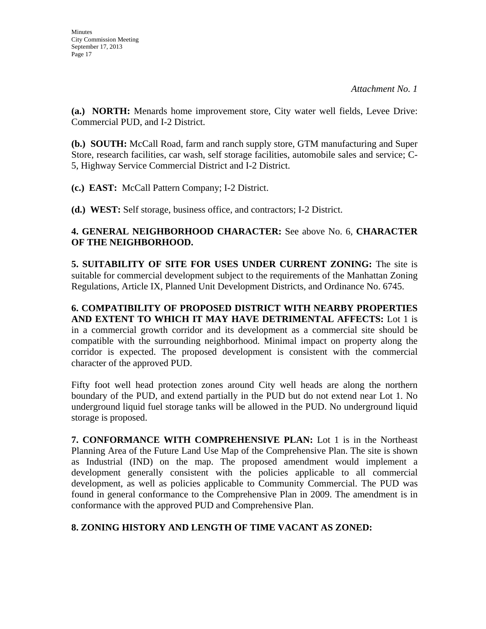**(a.) NORTH:** Menards home improvement store, City water well fields, Levee Drive: Commercial PUD, and I-2 District.

**(b.) SOUTH:** McCall Road, farm and ranch supply store, GTM manufacturing and Super Store, research facilities, car wash, self storage facilities, automobile sales and service; C-5, Highway Service Commercial District and I-2 District.

**(c.) EAST:** McCall Pattern Company; I-2 District.

**(d.) WEST:** Self storage, business office, and contractors; I-2 District.

## **4. GENERAL NEIGHBORHOOD CHARACTER:** See above No. 6, **CHARACTER OF THE NEIGHBORHOOD.**

**5. SUITABILITY OF SITE FOR USES UNDER CURRENT ZONING:** The site is suitable for commercial development subject to the requirements of the Manhattan Zoning Regulations, Article IX, Planned Unit Development Districts, and Ordinance No. 6745.

**6. COMPATIBILITY OF PROPOSED DISTRICT WITH NEARBY PROPERTIES AND EXTENT TO WHICH IT MAY HAVE DETRIMENTAL AFFECTS:** Lot 1 is in a commercial growth corridor and its development as a commercial site should be compatible with the surrounding neighborhood. Minimal impact on property along the corridor is expected. The proposed development is consistent with the commercial character of the approved PUD.

Fifty foot well head protection zones around City well heads are along the northern boundary of the PUD, and extend partially in the PUD but do not extend near Lot 1. No underground liquid fuel storage tanks will be allowed in the PUD. No underground liquid storage is proposed.

**7. CONFORMANCE WITH COMPREHENSIVE PLAN:** Lot 1 is in the Northeast Planning Area of the Future Land Use Map of the Comprehensive Plan. The site is shown as Industrial (IND) on the map. The proposed amendment would implement a development generally consistent with the policies applicable to all commercial development, as well as policies applicable to Community Commercial. The PUD was found in general conformance to the Comprehensive Plan in 2009. The amendment is in conformance with the approved PUD and Comprehensive Plan.

# **8. ZONING HISTORY AND LENGTH OF TIME VACANT AS ZONED:**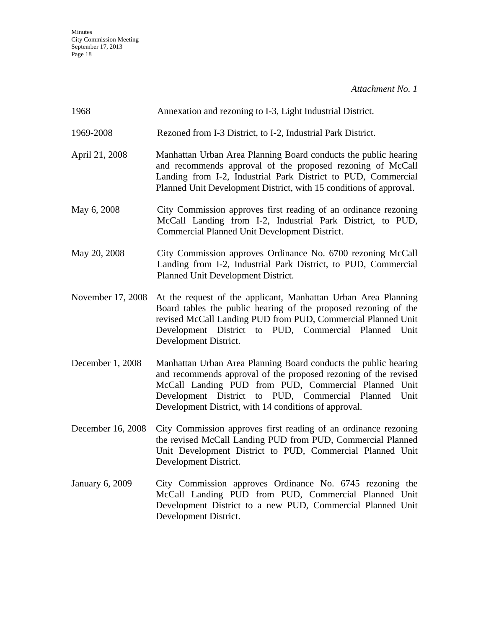| 1968                   | Annexation and rezoning to I-3, Light Industrial District.                                                                                                                                                                                                                                                     |
|------------------------|----------------------------------------------------------------------------------------------------------------------------------------------------------------------------------------------------------------------------------------------------------------------------------------------------------------|
| 1969-2008              | Rezoned from I-3 District, to I-2, Industrial Park District.                                                                                                                                                                                                                                                   |
| April 21, 2008         | Manhattan Urban Area Planning Board conducts the public hearing<br>and recommends approval of the proposed rezoning of McCall<br>Landing from I-2, Industrial Park District to PUD, Commercial<br>Planned Unit Development District, with 15 conditions of approval.                                           |
| May 6, 2008            | City Commission approves first reading of an ordinance rezoning<br>McCall Landing from I-2, Industrial Park District, to PUD,<br>Commercial Planned Unit Development District.                                                                                                                                 |
| May 20, 2008           | City Commission approves Ordinance No. 6700 rezoning McCall<br>Landing from I-2, Industrial Park District, to PUD, Commercial<br>Planned Unit Development District.                                                                                                                                            |
| November 17, 2008      | At the request of the applicant, Manhattan Urban Area Planning<br>Board tables the public hearing of the proposed rezoning of the<br>revised McCall Landing PUD from PUD, Commercial Planned Unit<br>Development District to PUD, Commercial Planned Unit<br>Development District.                             |
| December 1, 2008       | Manhattan Urban Area Planning Board conducts the public hearing<br>and recommends approval of the proposed rezoning of the revised<br>McCall Landing PUD from PUD, Commercial Planned Unit<br>Development District to PUD, Commercial Planned<br>Unit<br>Development District, with 14 conditions of approval. |
| December 16, 2008      | City Commission approves first reading of an ordinance rezoning<br>the revised McCall Landing PUD from PUD, Commercial Planned<br>Unit Development District to PUD, Commercial Planned Unit<br>Development District.                                                                                           |
| <b>January 6, 2009</b> | City Commission approves Ordinance No. 6745 rezoning the<br>McCall Landing PUD from PUD, Commercial Planned Unit<br>Development District to a new PUD, Commercial Planned Unit<br>Development District.                                                                                                        |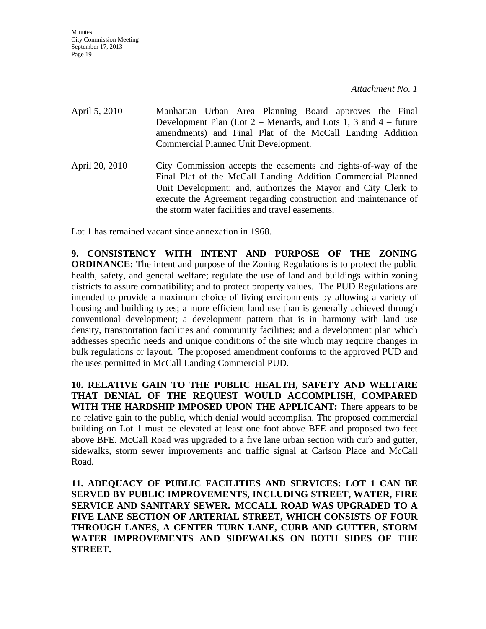April 5, 2010 Manhattan Urban Area Planning Board approves the Final Development Plan (Lot  $2 -$  Menards, and Lots 1, 3 and  $4 -$  future amendments) and Final Plat of the McCall Landing Addition Commercial Planned Unit Development. April 20, 2010 City Commission accepts the easements and rights-of-way of the Final Plat of the McCall Landing Addition Commercial Planned Unit Development; and, authorizes the Mayor and City Clerk to execute the Agreement regarding construction and maintenance of

the storm water facilities and travel easements.

Lot 1 has remained vacant since annexation in 1968.

**9. CONSISTENCY WITH INTENT AND PURPOSE OF THE ZONING ORDINANCE:** The intent and purpose of the Zoning Regulations is to protect the public health, safety, and general welfare; regulate the use of land and buildings within zoning districts to assure compatibility; and to protect property values. The PUD Regulations are intended to provide a maximum choice of living environments by allowing a variety of housing and building types; a more efficient land use than is generally achieved through conventional development; a development pattern that is in harmony with land use density, transportation facilities and community facilities; and a development plan which addresses specific needs and unique conditions of the site which may require changes in bulk regulations or layout. The proposed amendment conforms to the approved PUD and the uses permitted in McCall Landing Commercial PUD.

**10. RELATIVE GAIN TO THE PUBLIC HEALTH, SAFETY AND WELFARE THAT DENIAL OF THE REQUEST WOULD ACCOMPLISH, COMPARED WITH THE HARDSHIP IMPOSED UPON THE APPLICANT:** There appears to be no relative gain to the public, which denial would accomplish. The proposed commercial building on Lot 1 must be elevated at least one foot above BFE and proposed two feet above BFE. McCall Road was upgraded to a five lane urban section with curb and gutter, sidewalks, storm sewer improvements and traffic signal at Carlson Place and McCall Road.

**11. ADEQUACY OF PUBLIC FACILITIES AND SERVICES: LOT 1 CAN BE SERVED BY PUBLIC IMPROVEMENTS, INCLUDING STREET, WATER, FIRE SERVICE AND SANITARY SEWER. MCCALL ROAD WAS UPGRADED TO A FIVE LANE SECTION OF ARTERIAL STREET, WHICH CONSISTS OF FOUR THROUGH LANES, A CENTER TURN LANE, CURB AND GUTTER, STORM WATER IMPROVEMENTS AND SIDEWALKS ON BOTH SIDES OF THE STREET.**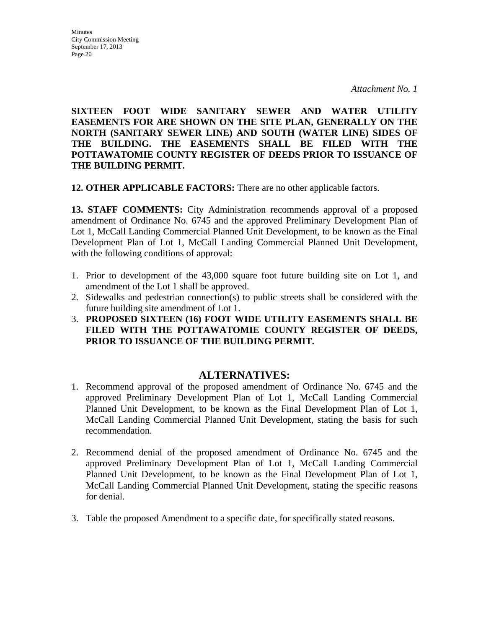**SIXTEEN FOOT WIDE SANITARY SEWER AND WATER UTILITY EASEMENTS FOR ARE SHOWN ON THE SITE PLAN, GENERALLY ON THE NORTH (SANITARY SEWER LINE) AND SOUTH (WATER LINE) SIDES OF THE BUILDING. THE EASEMENTS SHALL BE FILED WITH THE POTTAWATOMIE COUNTY REGISTER OF DEEDS PRIOR TO ISSUANCE OF THE BUILDING PERMIT.** 

**12. OTHER APPLICABLE FACTORS:** There are no other applicable factors.

**13. STAFF COMMENTS:** City Administration recommends approval of a proposed amendment of Ordinance No. 6745 and the approved Preliminary Development Plan of Lot 1, McCall Landing Commercial Planned Unit Development, to be known as the Final Development Plan of Lot 1, McCall Landing Commercial Planned Unit Development, with the following conditions of approval:

- 1. Prior to development of the 43,000 square foot future building site on Lot 1, and amendment of the Lot 1 shall be approved.
- 2. Sidewalks and pedestrian connection(s) to public streets shall be considered with the future building site amendment of Lot 1.
- 3. **PROPOSED SIXTEEN (16) FOOT WIDE UTILITY EASEMENTS SHALL BE FILED WITH THE POTTAWATOMIE COUNTY REGISTER OF DEEDS, PRIOR TO ISSUANCE OF THE BUILDING PERMIT.**

# **ALTERNATIVES:**

- 1. Recommend approval of the proposed amendment of Ordinance No. 6745 and the approved Preliminary Development Plan of Lot 1, McCall Landing Commercial Planned Unit Development, to be known as the Final Development Plan of Lot 1, McCall Landing Commercial Planned Unit Development, stating the basis for such recommendation.
- 2. Recommend denial of the proposed amendment of Ordinance No. 6745 and the approved Preliminary Development Plan of Lot 1, McCall Landing Commercial Planned Unit Development, to be known as the Final Development Plan of Lot 1, McCall Landing Commercial Planned Unit Development, stating the specific reasons for denial.
- 3. Table the proposed Amendment to a specific date, for specifically stated reasons.